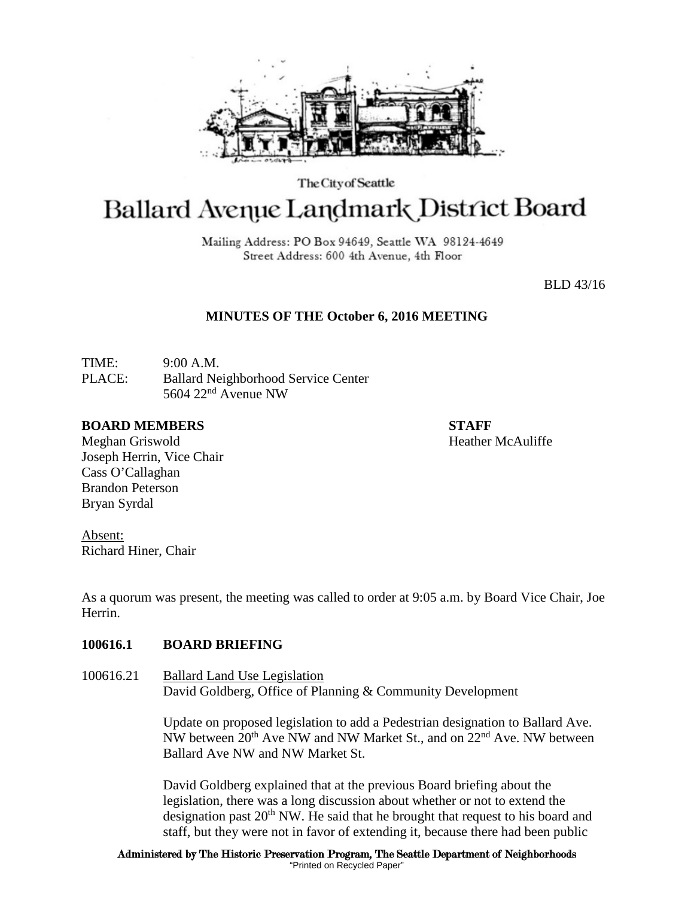

The City of Seattle

# Ballard Avenue Landmark District Board

Mailing Address: PO Box 94649, Seattle WA 98124-4649 Street Address: 600 4th Avenue, 4th Floor

BLD 43/16

# **MINUTES OF THE October 6, 2016 MEETING**

TIME: 9:00 A.M. PLACE: Ballard Neighborhood Service Center 5604 22nd Avenue NW

#### **BOARD MEMBERS STAFF**

Meghan Griswold **Heather McAuliffe** Joseph Herrin, Vice Chair Cass O'Callaghan Brandon Peterson Bryan Syrdal

Absent: Richard Hiner, Chair

As a quorum was present, the meeting was called to order at 9:05 a.m. by Board Vice Chair, Joe Herrin.

### **100616.1 BOARD BRIEFING**

100616.21 Ballard Land Use Legislation David Goldberg, Office of Planning & Community Development

> Update on proposed legislation to add a Pedestrian designation to Ballard Ave. NW between 20th Ave NW and NW Market St., and on 22nd Ave. NW between Ballard Ave NW and NW Market St.

> David Goldberg explained that at the previous Board briefing about the legislation, there was a long discussion about whether or not to extend the designation past  $20<sup>th</sup>$  NW. He said that he brought that request to his board and staff, but they were not in favor of extending it, because there had been public

Administered by The Historic Preservation Program, The Seattle Department of Neighborhoods "Printed on Recycled Paper"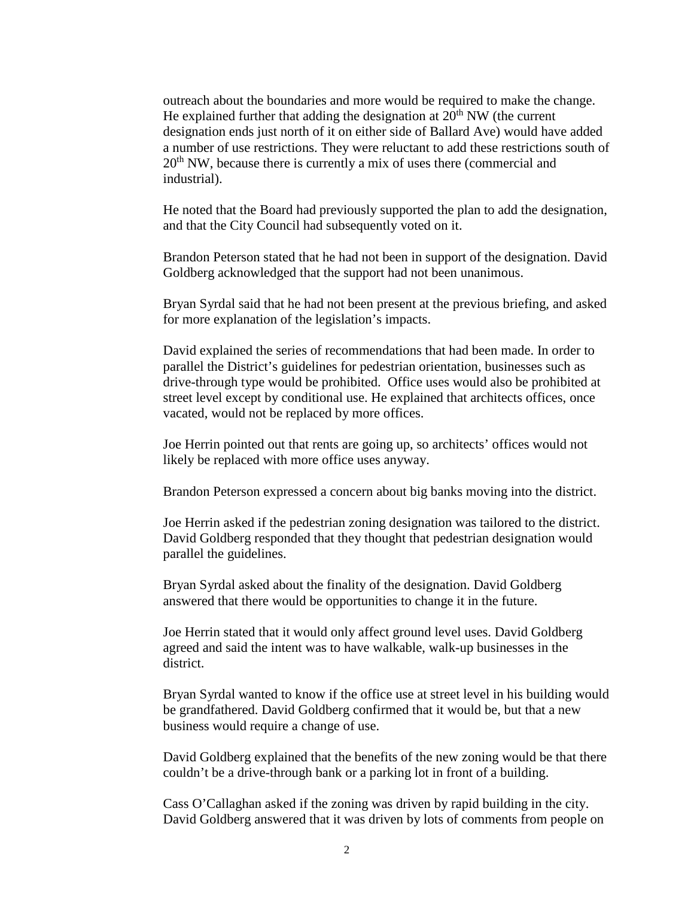outreach about the boundaries and more would be required to make the change. He explained further that adding the designation at  $20<sup>th</sup>$  NW (the current designation ends just north of it on either side of Ballard Ave) would have added a number of use restrictions. They were reluctant to add these restrictions south of  $20<sup>th</sup>$  NW, because there is currently a mix of uses there (commercial and industrial).

He noted that the Board had previously supported the plan to add the designation, and that the City Council had subsequently voted on it.

Brandon Peterson stated that he had not been in support of the designation. David Goldberg acknowledged that the support had not been unanimous.

Bryan Syrdal said that he had not been present at the previous briefing, and asked for more explanation of the legislation's impacts.

David explained the series of recommendations that had been made. In order to parallel the District's guidelines for pedestrian orientation, businesses such as drive-through type would be prohibited. Office uses would also be prohibited at street level except by conditional use. He explained that architects offices, once vacated, would not be replaced by more offices.

Joe Herrin pointed out that rents are going up, so architects' offices would not likely be replaced with more office uses anyway.

Brandon Peterson expressed a concern about big banks moving into the district.

Joe Herrin asked if the pedestrian zoning designation was tailored to the district. David Goldberg responded that they thought that pedestrian designation would parallel the guidelines.

Bryan Syrdal asked about the finality of the designation. David Goldberg answered that there would be opportunities to change it in the future.

Joe Herrin stated that it would only affect ground level uses. David Goldberg agreed and said the intent was to have walkable, walk-up businesses in the district.

Bryan Syrdal wanted to know if the office use at street level in his building would be grandfathered. David Goldberg confirmed that it would be, but that a new business would require a change of use.

David Goldberg explained that the benefits of the new zoning would be that there couldn't be a drive-through bank or a parking lot in front of a building.

Cass O'Callaghan asked if the zoning was driven by rapid building in the city. David Goldberg answered that it was driven by lots of comments from people on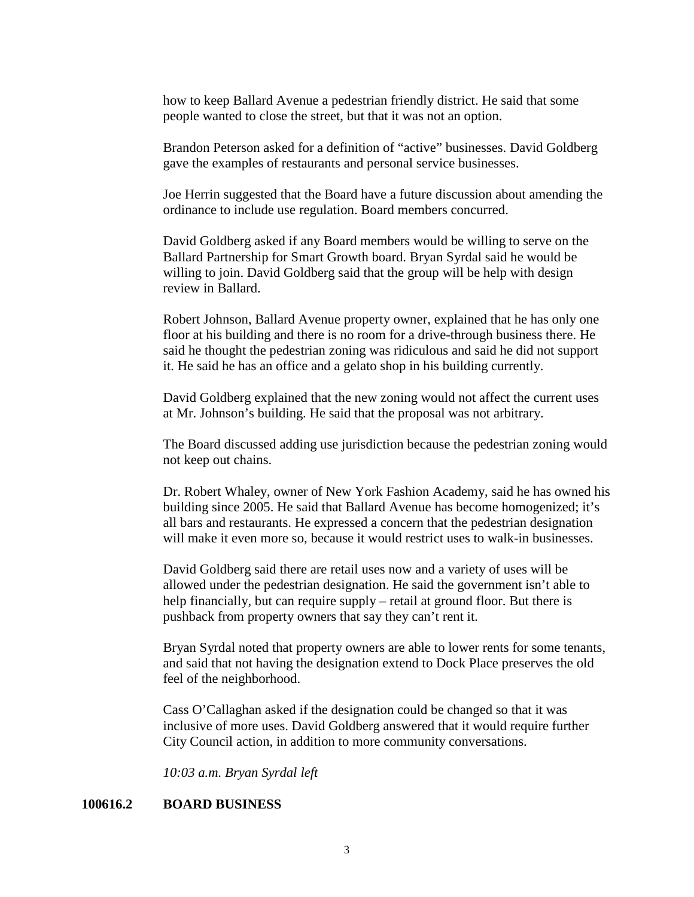how to keep Ballard Avenue a pedestrian friendly district. He said that some people wanted to close the street, but that it was not an option.

Brandon Peterson asked for a definition of "active" businesses. David Goldberg gave the examples of restaurants and personal service businesses.

Joe Herrin suggested that the Board have a future discussion about amending the ordinance to include use regulation. Board members concurred.

David Goldberg asked if any Board members would be willing to serve on the Ballard Partnership for Smart Growth board. Bryan Syrdal said he would be willing to join. David Goldberg said that the group will be help with design review in Ballard.

Robert Johnson, Ballard Avenue property owner, explained that he has only one floor at his building and there is no room for a drive-through business there. He said he thought the pedestrian zoning was ridiculous and said he did not support it. He said he has an office and a gelato shop in his building currently.

David Goldberg explained that the new zoning would not affect the current uses at Mr. Johnson's building. He said that the proposal was not arbitrary.

The Board discussed adding use jurisdiction because the pedestrian zoning would not keep out chains.

Dr. Robert Whaley, owner of New York Fashion Academy, said he has owned his building since 2005. He said that Ballard Avenue has become homogenized; it's all bars and restaurants. He expressed a concern that the pedestrian designation will make it even more so, because it would restrict uses to walk-in businesses.

David Goldberg said there are retail uses now and a variety of uses will be allowed under the pedestrian designation. He said the government isn't able to help financially, but can require supply – retail at ground floor. But there is pushback from property owners that say they can't rent it.

Bryan Syrdal noted that property owners are able to lower rents for some tenants, and said that not having the designation extend to Dock Place preserves the old feel of the neighborhood.

Cass O'Callaghan asked if the designation could be changed so that it was inclusive of more uses. David Goldberg answered that it would require further City Council action, in addition to more community conversations.

*10:03 a.m. Bryan Syrdal left*

# **100616.2 BOARD BUSINESS**